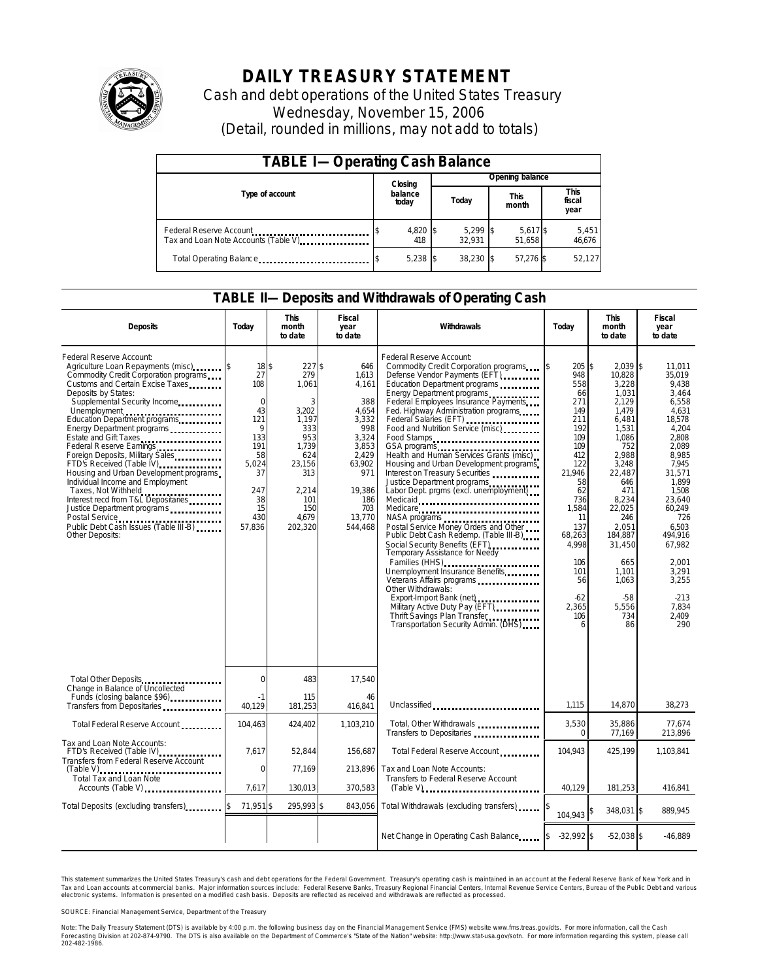

# **DAILY TREASURY STATEMENT**

Cash and debt operations of the United States Treasury Wednesday, November 15, 2006 (Detail, rounded in millions, may not add to totals)

| <b>TABLE I-Operating Cash Balance</b>                            |  |                  |  |                      |  |                      |  |                               |  |
|------------------------------------------------------------------|--|------------------|--|----------------------|--|----------------------|--|-------------------------------|--|
|                                                                  |  | Closing          |  | Opening balance      |  |                      |  |                               |  |
| Type of account                                                  |  | balance<br>today |  | Today                |  | <b>This</b><br>month |  | <b>This</b><br>fiscal<br>year |  |
| Federal Reserve Account<br>Tax and Loan Note Accounts (Table V). |  | 4,820 \$<br>418  |  | $5.299$ \$<br>32.931 |  | 5,617 \$<br>51.658   |  | 5,451<br>46,676               |  |
| Total Operating Balance                                          |  | $5,238$ \$       |  | 38.230 \$            |  | 57.276 \$            |  | 52,127                        |  |

### **TABLE II—Deposits and Withdrawals of Operating Cash**

| <b>Deposits</b>                                                                                                                                                                                                                                                                                                                                                                                                                                                                                                                                                                                                                                | Today                                                                                                                     | <b>This</b><br>month<br>to date                                                                                                       | Fiscal<br>year<br>to date                                                                                                                      | Withdrawals                                                                                                                                                                                                                                                                                                                                                                                                                                                                                                                                                                                                                                                                                                                                                                                                                                                                                                                                  | Today                                                                                                                                                                                                           | <b>This</b><br>month<br>to date                                                                                                                                                                                                                      | Fiscal<br>year<br>to date                                                                                                                                                                                                                                      |
|------------------------------------------------------------------------------------------------------------------------------------------------------------------------------------------------------------------------------------------------------------------------------------------------------------------------------------------------------------------------------------------------------------------------------------------------------------------------------------------------------------------------------------------------------------------------------------------------------------------------------------------------|---------------------------------------------------------------------------------------------------------------------------|---------------------------------------------------------------------------------------------------------------------------------------|------------------------------------------------------------------------------------------------------------------------------------------------|----------------------------------------------------------------------------------------------------------------------------------------------------------------------------------------------------------------------------------------------------------------------------------------------------------------------------------------------------------------------------------------------------------------------------------------------------------------------------------------------------------------------------------------------------------------------------------------------------------------------------------------------------------------------------------------------------------------------------------------------------------------------------------------------------------------------------------------------------------------------------------------------------------------------------------------------|-----------------------------------------------------------------------------------------------------------------------------------------------------------------------------------------------------------------|------------------------------------------------------------------------------------------------------------------------------------------------------------------------------------------------------------------------------------------------------|----------------------------------------------------------------------------------------------------------------------------------------------------------------------------------------------------------------------------------------------------------------|
| Federal Reserve Account:<br>Agriculture Loan Repayments (misc)<br>Commodity Credit Corporation programs<br>Customs and Certain Excise Taxes<br>Deposits by States:<br>Supplemental Security Income<br>Unemployment<br>Education Department programs<br>Energy Department programs<br>Estate and Gift Taxes<br>Federal Reserve Earnings<br>Foreign Deposits, Military Sales<br>FTD's Received (Table IV)<br>Housing and Urban Development programs<br>Individual Income and Employment<br>Taxes, Not Withheld<br>Interest recd from T&L Depositaries<br>Justice Department programs<br>Public Debt Cash Issues (Table III-B)<br>Other Deposits: | 18\$<br>27<br>108<br>$\mathbf 0$<br>43<br>121<br>9<br>133<br>191<br>58<br>5,024<br>37<br>247<br>38<br>15<br>430<br>57,836 | 227S<br>279<br>1,061<br>3<br>3.202<br>1,197<br>333<br>953<br>1,739<br>624<br>23,156<br>313<br>2,214<br>101<br>150<br>4.679<br>202,320 | 646<br>1,613<br>4.161<br>388<br>4.654<br>3,332<br>998<br>3.324<br>3,853<br>2.429<br>63,902<br>971<br>19,386<br>186<br>703<br>13,770<br>544,468 | Federal Reserve Account:<br>Commodity Credit Corporation programs<br>Defense Vendor Payments (EFT)<br>Education Department programs<br>Energy Department programs<br>Federal Employees Insurance Payments<br>Fed. Highway Administration programs<br>Federal Salaries (EFT)<br>Federal Salaries (EFT)<br>Food and Nutrition Service (misc)<br>Health and Human Services Grants (misc)<br>Housing and Urban Development programs<br>Interest on Treasury Securities<br>Justice Department programs<br>Labor Dept. prgms (excl. unemployment)<br>Medicaid<br>Medicare<br>Postal Service Money Orders and Other<br>Public Debt Cash Redemp. (Table III-B)<br>Social Security Benefits (EFT)<br>Temporary Assistance for Needy<br>Families (HHS)<br>Unemployment Insurance Benefits<br>Veterans Affairs programs<br>Other Withdrawals:<br>Military Active Duty Pay (EFT)<br>Thrift Savings Plan Transfer<br>Transportation Security Admin. (DHS) | 205S<br>Ι\$<br>948<br>558<br>66<br>271<br>149<br>211<br>192<br>109<br>109<br>412<br>122<br>21,946<br>58<br>62<br>736<br>1,584<br>11<br>137<br>68,263<br>4,998<br>106<br>101<br>56<br>$-62$<br>2,365<br>106<br>6 | $2.039$ \$<br>10,828<br>3,228<br>1.031<br>2,129<br>1.479<br>6,481<br>1,531<br>1.086<br>752<br>2.988<br>3,248<br>22,487<br>646<br>471<br>8,234<br>22,025<br>246<br>2.051<br>184,887<br>31,450<br>665<br>1,101<br>1,063<br>$-58$<br>5,556<br>734<br>86 | 11.011<br>35,019<br>9.438<br>3.464<br>6,558<br>4.631<br>18,578<br>4,204<br>2.808<br>2,089<br>8.985<br>7,945<br>31,571<br>1.899<br>1,508<br>23.640<br>60,249<br>726<br>6.503<br>494.916<br>67,982<br>2.001<br>3.291<br>3,255<br>$-213$<br>7,834<br>2.409<br>290 |
| Total Other Deposits<br><br>Change in Balance of Uncollected                                                                                                                                                                                                                                                                                                                                                                                                                                                                                                                                                                                   | $\Omega$                                                                                                                  | 483                                                                                                                                   | 17,540                                                                                                                                         |                                                                                                                                                                                                                                                                                                                                                                                                                                                                                                                                                                                                                                                                                                                                                                                                                                                                                                                                              |                                                                                                                                                                                                                 |                                                                                                                                                                                                                                                      |                                                                                                                                                                                                                                                                |
| Funds (closing balance \$96)<br>Transfers from Depositaries                                                                                                                                                                                                                                                                                                                                                                                                                                                                                                                                                                                    | -1<br>40.129                                                                                                              | 115<br>181,253                                                                                                                        | 46<br>416.841                                                                                                                                  | Unclassified                                                                                                                                                                                                                                                                                                                                                                                                                                                                                                                                                                                                                                                                                                                                                                                                                                                                                                                                 | 1,115                                                                                                                                                                                                           | 14,870                                                                                                                                                                                                                                               | 38,273                                                                                                                                                                                                                                                         |
| Total Federal Reserve Account                                                                                                                                                                                                                                                                                                                                                                                                                                                                                                                                                                                                                  | 104,463                                                                                                                   | 424,402                                                                                                                               | 1,103,210                                                                                                                                      | Total, Other Withdrawals<br>Transfers to Depositaries                                                                                                                                                                                                                                                                                                                                                                                                                                                                                                                                                                                                                                                                                                                                                                                                                                                                                        | 3,530<br>$\Omega$                                                                                                                                                                                               | 35,886<br>77,169                                                                                                                                                                                                                                     | 77,674<br>213.896                                                                                                                                                                                                                                              |
| Tax and Loan Note Accounts:<br>FTD's Received (Table IV)<br>Transfers from Federal Reserve Account                                                                                                                                                                                                                                                                                                                                                                                                                                                                                                                                             | 7,617                                                                                                                     | 52,844                                                                                                                                | 156,687                                                                                                                                        | Total Federal Reserve Account                                                                                                                                                                                                                                                                                                                                                                                                                                                                                                                                                                                                                                                                                                                                                                                                                                                                                                                | 104.943                                                                                                                                                                                                         | 425,199                                                                                                                                                                                                                                              | 1,103,841                                                                                                                                                                                                                                                      |
| (Table V)<br>Total Tax and Loan Note<br>Accounts (Table V)                                                                                                                                                                                                                                                                                                                                                                                                                                                                                                                                                                                     | 0<br>7.617                                                                                                                | 77,169<br>130,013                                                                                                                     | 213,896<br>370,583                                                                                                                             | Tax and Loan Note Accounts:<br>Transfers to Federal Reserve Account<br>$(Table V)$                                                                                                                                                                                                                                                                                                                                                                                                                                                                                                                                                                                                                                                                                                                                                                                                                                                           | 40.129                                                                                                                                                                                                          | 181,253                                                                                                                                                                                                                                              | 416,841                                                                                                                                                                                                                                                        |
| Total Deposits (excluding transfers).                                                                                                                                                                                                                                                                                                                                                                                                                                                                                                                                                                                                          | 71,951 \$<br>ß.                                                                                                           | 295,993 \$                                                                                                                            | 843,056                                                                                                                                        | Total Withdrawals (excluding transfers)                                                                                                                                                                                                                                                                                                                                                                                                                                                                                                                                                                                                                                                                                                                                                                                                                                                                                                      | 104,943                                                                                                                                                                                                         | 348,031 \$                                                                                                                                                                                                                                           | 889,945                                                                                                                                                                                                                                                        |
|                                                                                                                                                                                                                                                                                                                                                                                                                                                                                                                                                                                                                                                |                                                                                                                           |                                                                                                                                       |                                                                                                                                                | Net Change in Operating Cash Balance                                                                                                                                                                                                                                                                                                                                                                                                                                                                                                                                                                                                                                                                                                                                                                                                                                                                                                         | $-32,992$ \$                                                                                                                                                                                                    | $-52,038$ \$                                                                                                                                                                                                                                         | $-46,889$                                                                                                                                                                                                                                                      |

This statement summarizes the United States Treasury's cash and debt operations for the Federal Government. Treasury's operating cash is maintained in an account at the Federal Reserve Bank of New York and in Tax and Loan accounts at commercial banks. Major information sources include: Federal Reserve Banks, Treasury Regional Financial Centers, Internal Revenue Service Centers, Bureau of the Public Debt and various<br>electronic s

SOURCE: Financial Management Service, Department of the Treasury

Note: The Daily Treasury Statement (DTS) is available by 4:00 p.m. the following business day on the Financial Management Service (FMS) website www.fms.treas.gov/dts. For more information, call the Cash Forecasting Division at 202-874-9790. The DTS is also available on the Department of Commerce's "State of the Nation" website: http://www.stat-usa.gov/sotn. For more information regarding this system, please call<br>202-482-1